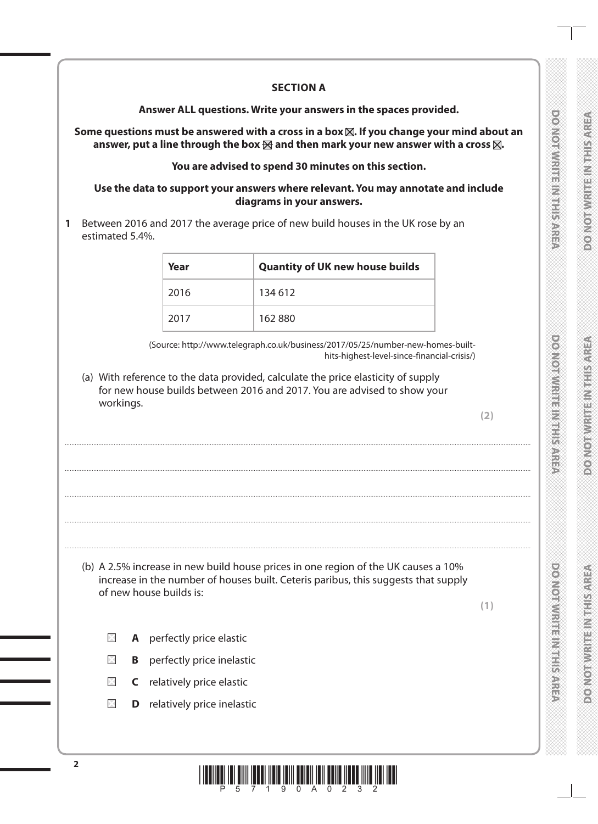|  |  |  | <b>CONTRACTOR</b> |  |
|--|--|--|-------------------|--|
|  |  |  |                   |  |
|  |  |  |                   |  |
|  |  |  |                   |  |
|  |  |  |                   |  |
|  |  |  |                   |  |
|  |  |  | Ó                 |  |
|  |  |  |                   |  |
|  |  |  |                   |  |
|  |  |  |                   |  |

**DOMOROM SERVICE STATE** 

**PORT BENNET MANAGEMENT** 

**POSTORIAL PROPERTY AND INTERNATIONAL** 

**DOCKLOTAWRITING HEALS** 

## **SECTION A**

**Answer ALL questions. Write your answers in the spaces provided.**

Some questions must be answered with a cross in a box  $\boxtimes$ . If you change your mind about an answer, put a line through the box  $\boxtimes$  and then mark your new answer with a cross  $\boxtimes$ .

### **You are advised to spend 30 minutes on this section.**

#### **Use the data to support your answers where relevant. You may annotate and include diagrams in your answers.**

**1** Between 2016 and 2017 the average price of new build houses in the UK rose by an estimated 5.4%.

| Year | <b>Quantity of UK new house builds</b> |
|------|----------------------------------------|
| 2016 | 134 612                                |
| 2017 | 162880                                 |

....................................................................................................................................................................................................................................................................................

....................................................................................................................................................................................................................................................................................

....................................................................................................................................................................................................................................................................................

....................................................................................................................................................................................................................................................................................

....................................................................................................................................................................................................................................................................................

(Source: http://www.telegraph.co.uk/business/2017/05/25/number-new-homes-builthits-highest-level-since-financial-crisis/)

(a) With reference to the data provided, calculate the price elasticity of supply for new house builds between 2016 and 2017. You are advised to show your workings.

**(2)**

(b) A 2.5% increase in new build house prices in one region of the UK causes a 10% increase in the number of houses built. Ceteris paribus, this suggests that supply of new house builds is:

**(1)**

- $\boxtimes$ **A** perfectly price elastic
- $\boxtimes$ **B** perfectly price inelastic
- $\boxtimes$ **C** relatively price elastic
- $\times$ **D** relatively price inelastic

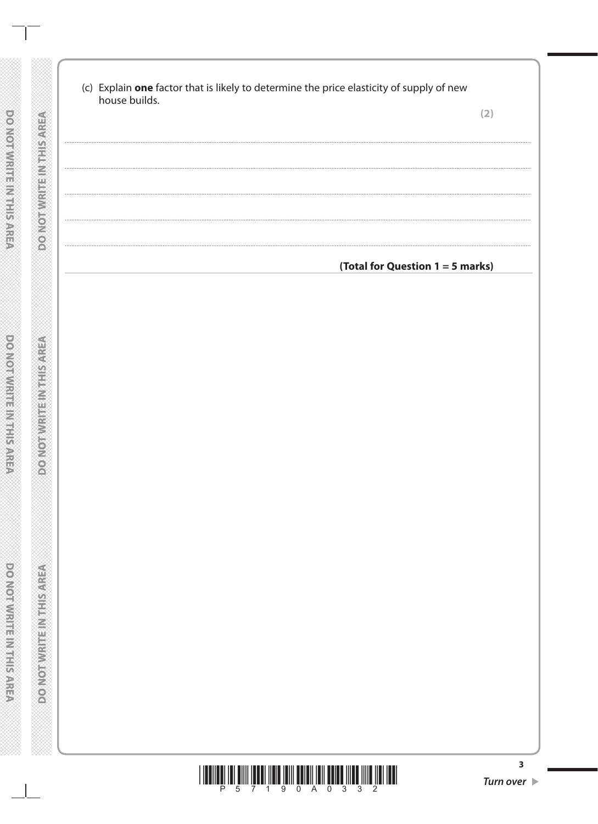| house builds. |  | (c) Explain one factor that is likely to determine the price elasticity of supply of new | (2) |
|---------------|--|------------------------------------------------------------------------------------------|-----|
|               |  |                                                                                          |     |
|               |  |                                                                                          |     |
|               |  |                                                                                          |     |
|               |  |                                                                                          |     |
|               |  |                                                                                          |     |
|               |  |                                                                                          |     |
|               |  | (Total for Question 1 = 5 marks)                                                         |     |
|               |  |                                                                                          |     |
|               |  |                                                                                          |     |
|               |  |                                                                                          |     |
|               |  |                                                                                          |     |
|               |  |                                                                                          |     |
|               |  |                                                                                          |     |
|               |  |                                                                                          |     |
|               |  |                                                                                          |     |
|               |  |                                                                                          |     |
|               |  |                                                                                          |     |
|               |  |                                                                                          |     |
|               |  |                                                                                          |     |
|               |  |                                                                                          |     |
|               |  |                                                                                          |     |
|               |  |                                                                                          |     |
|               |  |                                                                                          |     |
|               |  |                                                                                          |     |
|               |  |                                                                                          |     |
|               |  |                                                                                          |     |
|               |  |                                                                                          |     |
|               |  |                                                                                          |     |
|               |  |                                                                                          |     |

**DO NOTWRITEINIS RISPREA** 

**DO NOT WRITE IN THIS AREA** 

 $\mathbb{R}$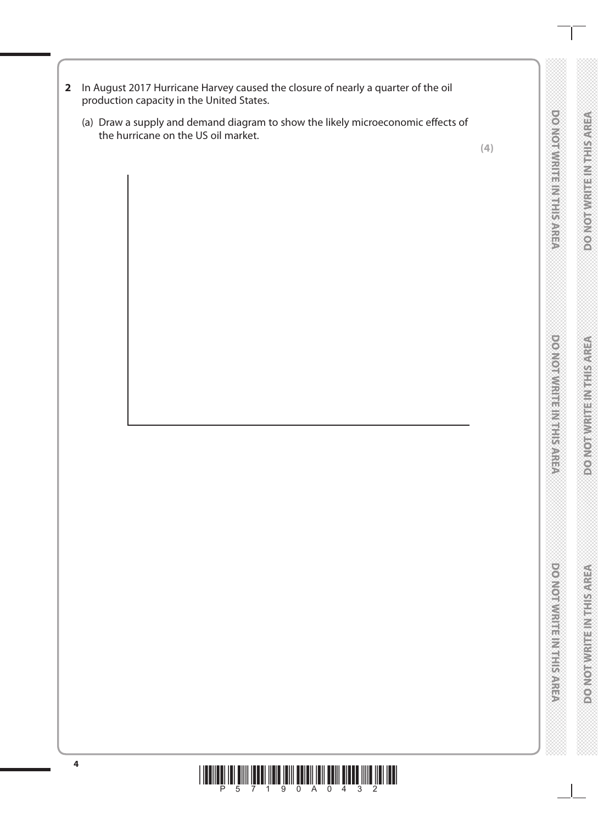- **2** In August 2017 Hurricane Harvey caused the closure of nearly a quarter of the oil production capacity in the United States.
	- (a) Draw a supply and demand diagram to show the likely microeconomic effects of the hurricane on the US oil market. nto sh



 $\sim$ 

**DOONORWAYS IN SURFACE** 

**DOOMOODWARE MARKETING** 

**DO NOTWRITEINITIS AREA** 

**DOMOITIVE HE NEEDS ARE** 

# \*P57190A0432\* **<sup>4</sup>**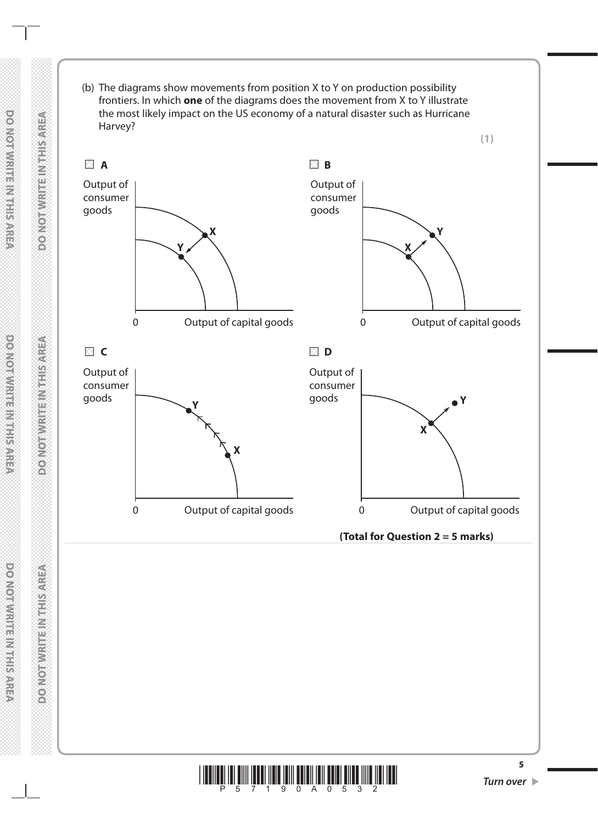

医白色

**DONOTAL TELESCOPY** 

**DOATOFWRITEINTEISAREA** 

**DONORMRITE INTERNAREA** 

**DOMOTWIRES MEETS AREA** 

**DOMORWATERMENTSWATER**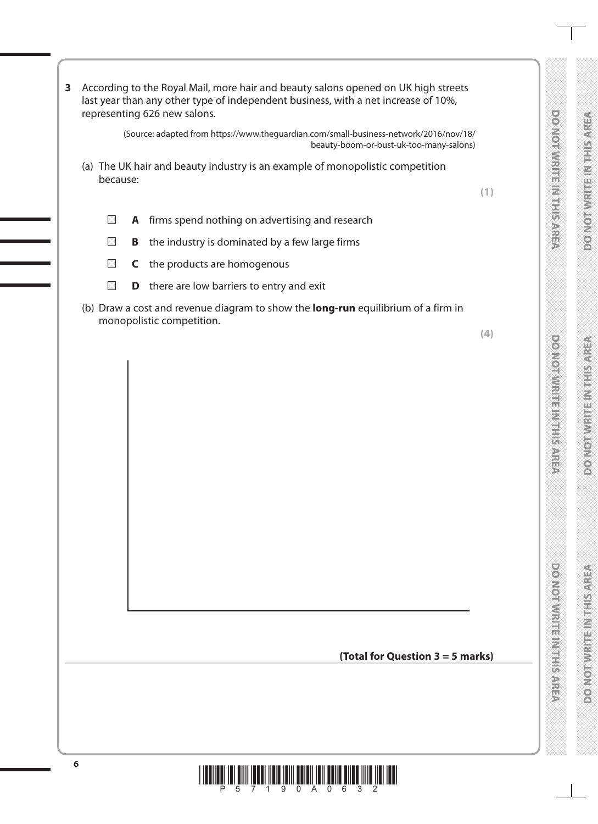|                                                    | $\frac{1}{2}$ |
|----------------------------------------------------|---------------|
|                                                    |               |
|                                                    |               |
|                                                    |               |
|                                                    |               |
|                                                    |               |
|                                                    |               |
|                                                    |               |
| ハイトランプ アンダング アンダンス アイアンダング アンダング アンダング アンダング アンダング |               |

DOMOTIVIRIE IN THIS AREA

**DOOMOODWARE MARKETING** 

**DOMOTWRITEINTHIS AREA** 

**DOMOITIVE HE NEEDS ARE** 

|   | because: | (a) The UK hair and beauty industry is an example of monopolistic competition                                  |     |
|---|----------|----------------------------------------------------------------------------------------------------------------|-----|
|   |          |                                                                                                                | (1) |
|   | $\times$ | A firms spend nothing on advertising and research                                                              |     |
|   | $\times$ | <b>B</b> the industry is dominated by a few large firms                                                        |     |
|   | $\times$ | C the products are homogenous                                                                                  |     |
|   | $\times$ | <b>D</b> there are low barriers to entry and exit                                                              |     |
|   |          | (b) Draw a cost and revenue diagram to show the long-run equilibrium of a firm in<br>monopolistic competition. | (4) |
|   |          |                                                                                                                |     |
|   |          |                                                                                                                |     |
|   |          |                                                                                                                |     |
|   |          |                                                                                                                |     |
|   |          |                                                                                                                |     |
|   |          |                                                                                                                |     |
|   |          |                                                                                                                |     |
|   |          |                                                                                                                |     |
|   |          |                                                                                                                |     |
|   |          |                                                                                                                |     |
|   |          |                                                                                                                |     |
|   |          |                                                                                                                |     |
|   |          |                                                                                                                |     |
|   |          | (Total for Question 3 = 5 marks)                                                                               |     |
|   |          |                                                                                                                |     |
|   |          |                                                                                                                |     |
|   |          |                                                                                                                |     |
|   |          |                                                                                                                |     |
| 6 |          | <u> A ALAM ANALI AND AN</u><br>III III                                                                         |     |
|   |          | 5<br>9.<br>$\Omega$<br>$\Omega$<br>6<br>$\sqrt{2}$                                                             |     |
|   |          |                                                                                                                |     |

**3** According to the Royal Mail, more hair and beauty salons opened on UK high streets last year than any other type of independent business, with a net increase of 10%,

(Source: adapted from https://www.theguardian.com/small-business-network/2016/nov/18/

beauty-boom-or-bust-uk-too-many-salons)

representing 626 new salons.

Cost/revenue (2) McCost/revenue (2) McCost/revenue (2) McCost/revenue (2) McCost/revenue (2) McCost/revenue (2<br>Cost/revenue (2) McCost/revenue (2) McCost/revenue (2) McCost/revenue (2) McCost/revenue (2) McCost/revenue (2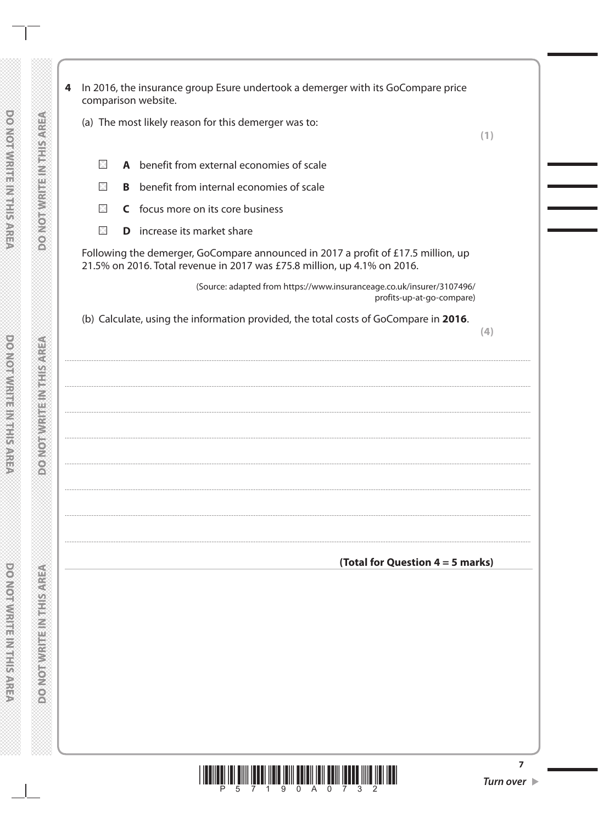|             |   | (a) The most likely reason for this demerger was to:                                                                                                          |     |
|-------------|---|---------------------------------------------------------------------------------------------------------------------------------------------------------------|-----|
|             |   |                                                                                                                                                               | (1) |
| $\boxtimes$ |   | A benefit from external economies of scale                                                                                                                    |     |
| $\boxtimes$ | B | benefit from internal economies of scale                                                                                                                      |     |
| $\times$    |   | C focus more on its core business                                                                                                                             |     |
| $\boxtimes$ | D | increase its market share                                                                                                                                     |     |
|             |   | Following the demerger, GoCompare announced in 2017 a profit of £17.5 million, up<br>21.5% on 2016. Total revenue in 2017 was £75.8 million, up 4.1% on 2016. |     |
|             |   | (Source: adapted from https://www.insuranceage.co.uk/insurer/3107496/<br>profits-up-at-go-compare)                                                            |     |
|             |   | (b) Calculate, using the information provided, the total costs of GoCompare in 2016.                                                                          | (4) |
|             |   |                                                                                                                                                               |     |
|             |   |                                                                                                                                                               |     |
|             |   |                                                                                                                                                               |     |
|             |   |                                                                                                                                                               |     |
|             |   |                                                                                                                                                               |     |
|             |   |                                                                                                                                                               |     |
|             |   |                                                                                                                                                               |     |
|             |   |                                                                                                                                                               |     |
|             |   |                                                                                                                                                               |     |
|             |   |                                                                                                                                                               |     |
|             |   |                                                                                                                                                               |     |
|             |   |                                                                                                                                                               |     |
|             |   |                                                                                                                                                               |     |
|             |   | (Total for Question $4 = 5$ marks)                                                                                                                            |     |
|             |   |                                                                                                                                                               |     |
|             |   |                                                                                                                                                               |     |
|             |   |                                                                                                                                                               |     |
|             |   |                                                                                                                                                               |     |
|             |   |                                                                                                                                                               |     |
|             |   |                                                                                                                                                               |     |
|             |   |                                                                                                                                                               |     |
|             |   |                                                                                                                                                               |     |
|             |   |                                                                                                                                                               |     |
|             |   |                                                                                                                                                               |     |



DO NOT WRITE IN THIS AREA

 $\mathbb{R}^n$